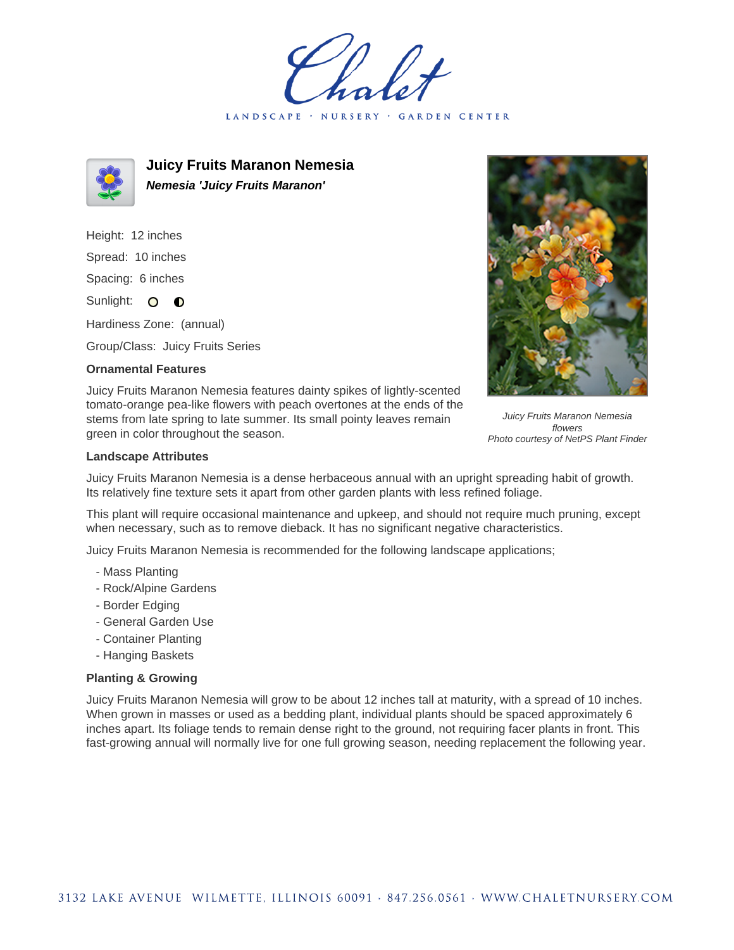LANDSCAPE · NURSERY GARDEN CENTER



**Juicy Fruits Maranon Nemesia Nemesia 'Juicy Fruits Maranon'**

Height: 12 inches Spread: 10 inches Spacing: 6 inches Sunlight: O **O** 

Hardiness Zone: (annual)

Group/Class: Juicy Fruits Series

## **Ornamental Features**

Juicy Fruits Maranon Nemesia features dainty spikes of lightly-scented tomato-orange pea-like flowers with peach overtones at the ends of the stems from late spring to late summer. Its small pointy leaves remain green in color throughout the season.



Juicy Fruits Maranon Nemesia flowers Photo courtesy of NetPS Plant Finder

## **Landscape Attributes**

Juicy Fruits Maranon Nemesia is a dense herbaceous annual with an upright spreading habit of growth. Its relatively fine texture sets it apart from other garden plants with less refined foliage.

This plant will require occasional maintenance and upkeep, and should not require much pruning, except when necessary, such as to remove dieback. It has no significant negative characteristics.

Juicy Fruits Maranon Nemesia is recommended for the following landscape applications;

- Mass Planting
- Rock/Alpine Gardens
- Border Edging
- General Garden Use
- Container Planting
- Hanging Baskets

## **Planting & Growing**

Juicy Fruits Maranon Nemesia will grow to be about 12 inches tall at maturity, with a spread of 10 inches. When grown in masses or used as a bedding plant, individual plants should be spaced approximately 6 inches apart. Its foliage tends to remain dense right to the ground, not requiring facer plants in front. This fast-growing annual will normally live for one full growing season, needing replacement the following year.